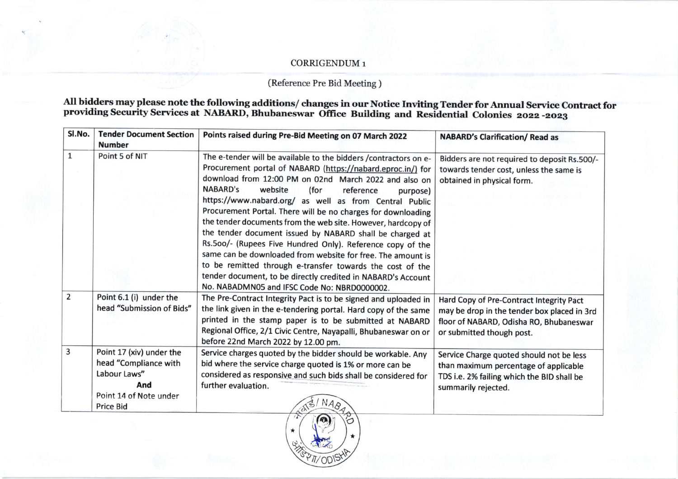## CORRIGENDUM 1

## (Reference Pre Bid Meeting )

## All bidders may please note the following additions/changes in our Notice Inviting Tender for Annual Service Contract for<br>providing Security Services at NABARD, Bhubaneswar Office Building and Residential Colonies 2022-202

| SI.No.       | <b>Tender Document Section</b><br><b>Number</b>                                                    | Points raised during Pre-Bid Meeting on 07 March 2022                                                                                                                                                                                                                                                                                                                                                                                                                                                                                                                                                                                                                                                                                                                                                            | <b>NABARD's Clarification/ Read as</b>                                                                                                                          |
|--------------|----------------------------------------------------------------------------------------------------|------------------------------------------------------------------------------------------------------------------------------------------------------------------------------------------------------------------------------------------------------------------------------------------------------------------------------------------------------------------------------------------------------------------------------------------------------------------------------------------------------------------------------------------------------------------------------------------------------------------------------------------------------------------------------------------------------------------------------------------------------------------------------------------------------------------|-----------------------------------------------------------------------------------------------------------------------------------------------------------------|
| $\mathbf{1}$ | Point 5 of NIT                                                                                     | The e-tender will be available to the bidders /contractors on e-<br>Procurement portal of NABARD (https://nabard.eproc.in/) for<br>download from 12:00 PM on 02nd March 2022 and also on<br>NABARD's<br>website<br>(for<br>reference<br>purpose)<br>https://www.nabard.org/ as well as from Central Public<br>Procurement Portal. There will be no charges for downloading<br>the tender documents from the web site. However, hardcopy of<br>the tender document issued by NABARD shall be charged at<br>Rs.500/- (Rupees Five Hundred Only). Reference copy of the<br>same can be downloaded from website for free. The amount is<br>to be remitted through e-transfer towards the cost of the<br>tender document, to be directly credited in NABARD's Account<br>No. NABADMN05 and IFSC Code No: NBRD0000002. | Bidders are not required to deposit Rs.500/-<br>towards tender cost, unless the same is<br>obtained in physical form.                                           |
| 2            | Point 6.1 (i) under the<br>head "Submission of Bids"                                               | The Pre-Contract Integrity Pact is to be signed and uploaded in<br>the link given in the e-tendering portal. Hard copy of the same<br>printed in the stamp paper is to be submitted at NABARD<br>Regional Office, 2/1 Civic Centre, Nayapalli, Bhubaneswar on or<br>before 22nd March 2022 by 12.00 pm.                                                                                                                                                                                                                                                                                                                                                                                                                                                                                                          | Hard Copy of Pre-Contract Integrity Pact<br>may be drop in the tender box placed in 3rd<br>floor of NABARD, Odisha RO, Bhubaneswar<br>or submitted though post. |
| 3            | Point 17 (xiv) under the<br>head "Compliance with<br>Labour Laws"<br>And<br>Point 14 of Note under | Service charges quoted by the bidder should be workable. Any<br>bid where the service charge quoted is 1% or more can be<br>considered as responsive and such bids shall be considered for<br>further evaluation.                                                                                                                                                                                                                                                                                                                                                                                                                                                                                                                                                                                                | Service Charge quoted should not be less<br>than maximum percentage of applicable<br>TDS i.e. 2% failing which the BID shall be<br>summarily rejected.          |
|              | <b>Price Bid</b>                                                                                   |                                                                                                                                                                                                                                                                                                                                                                                                                                                                                                                                                                                                                                                                                                                                                                                                                  |                                                                                                                                                                 |

WED TO DISHA